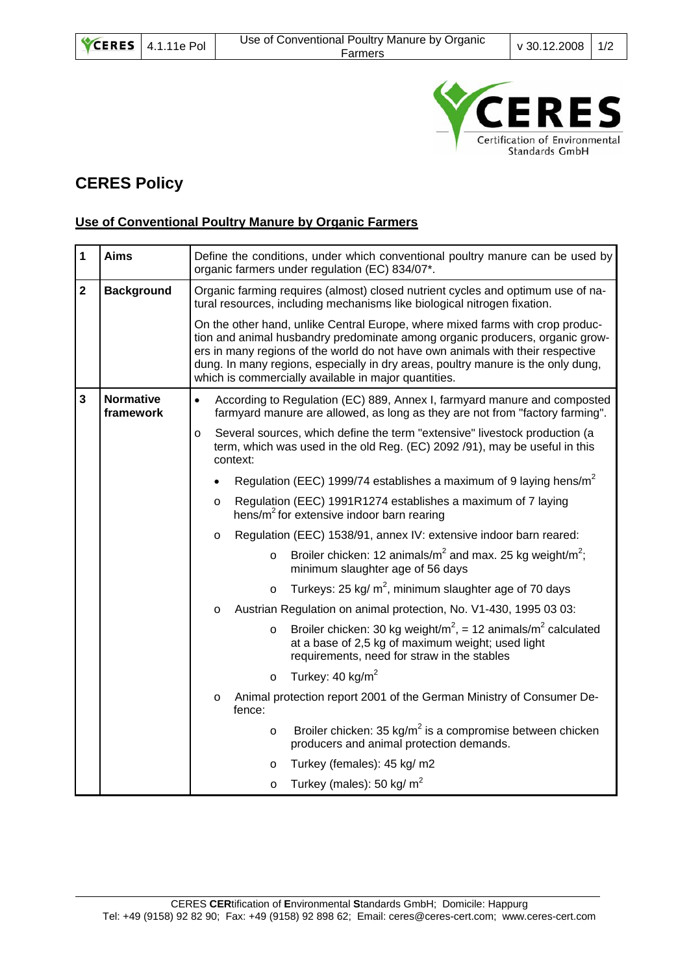

## **CERES Policy**

## **Use of Conventional Poultry Manure by Organic Farmers**

| $\overline{\mathbf{1}}$ | <b>Aims</b>                   | Define the conditions, under which conventional poultry manure can be used by<br>organic farmers under regulation (EC) 834/07*.                                                                                                                                                                                                                                                             |  |  |
|-------------------------|-------------------------------|---------------------------------------------------------------------------------------------------------------------------------------------------------------------------------------------------------------------------------------------------------------------------------------------------------------------------------------------------------------------------------------------|--|--|
| $\overline{\mathbf{2}}$ | <b>Background</b>             | Organic farming requires (almost) closed nutrient cycles and optimum use of na-<br>tural resources, including mechanisms like biological nitrogen fixation.                                                                                                                                                                                                                                 |  |  |
|                         |                               | On the other hand, unlike Central Europe, where mixed farms with crop produc-<br>tion and animal husbandry predominate among organic producers, organic grow-<br>ers in many regions of the world do not have own animals with their respective<br>dung. In many regions, especially in dry areas, poultry manure is the only dung,<br>which is commercially available in major quantities. |  |  |
| $\mathbf{3}$            | <b>Normative</b><br>framework | According to Regulation (EC) 889, Annex I, farmyard manure and composted<br>$\bullet$<br>farmyard manure are allowed, as long as they are not from "factory farming".                                                                                                                                                                                                                       |  |  |
|                         |                               | Several sources, which define the term "extensive" livestock production (a<br>o<br>term, which was used in the old Reg. (EC) 2092 /91), may be useful in this<br>context:                                                                                                                                                                                                                   |  |  |
|                         |                               | Regulation (EEC) 1999/74 establishes a maximum of 9 laying hens/m <sup>2</sup>                                                                                                                                                                                                                                                                                                              |  |  |
|                         |                               | Regulation (EEC) 1991R1274 establishes a maximum of 7 laying<br>$\Omega$<br>hens/m <sup>2</sup> for extensive indoor barn rearing                                                                                                                                                                                                                                                           |  |  |
|                         |                               | Regulation (EEC) 1538/91, annex IV: extensive indoor barn reared:<br>O                                                                                                                                                                                                                                                                                                                      |  |  |
|                         |                               | Broiler chicken: 12 animals/ $m^2$ and max. 25 kg weight/ $m^2$ ;<br>$\circ$<br>minimum slaughter age of 56 days                                                                                                                                                                                                                                                                            |  |  |
|                         |                               | Turkeys: 25 kg/ $m^2$ , minimum slaughter age of 70 days<br>$\Omega$                                                                                                                                                                                                                                                                                                                        |  |  |
|                         |                               | Austrian Regulation on animal protection, No. V1-430, 1995 03 03:<br>o                                                                                                                                                                                                                                                                                                                      |  |  |
|                         |                               | Broiler chicken: 30 kg weight/ $m^2$ , = 12 animals/ $m^2$ calculated<br>$\circ$<br>at a base of 2,5 kg of maximum weight; used light<br>requirements, need for straw in the stables                                                                                                                                                                                                        |  |  |
|                         |                               | Turkey: $40 \text{ kg/m}^2$<br>$\circ$                                                                                                                                                                                                                                                                                                                                                      |  |  |
|                         |                               | Animal protection report 2001 of the German Ministry of Consumer De-<br>o<br>fence:                                                                                                                                                                                                                                                                                                         |  |  |
|                         |                               | Broiler chicken: 35 kg/ $m^2$ is a compromise between chicken<br>$\circ$<br>producers and animal protection demands.                                                                                                                                                                                                                                                                        |  |  |
|                         |                               | Turkey (females): 45 kg/ m2<br>$\circ$                                                                                                                                                                                                                                                                                                                                                      |  |  |
|                         |                               | Turkey (males): 50 kg/ $m2$<br>$\circ$                                                                                                                                                                                                                                                                                                                                                      |  |  |